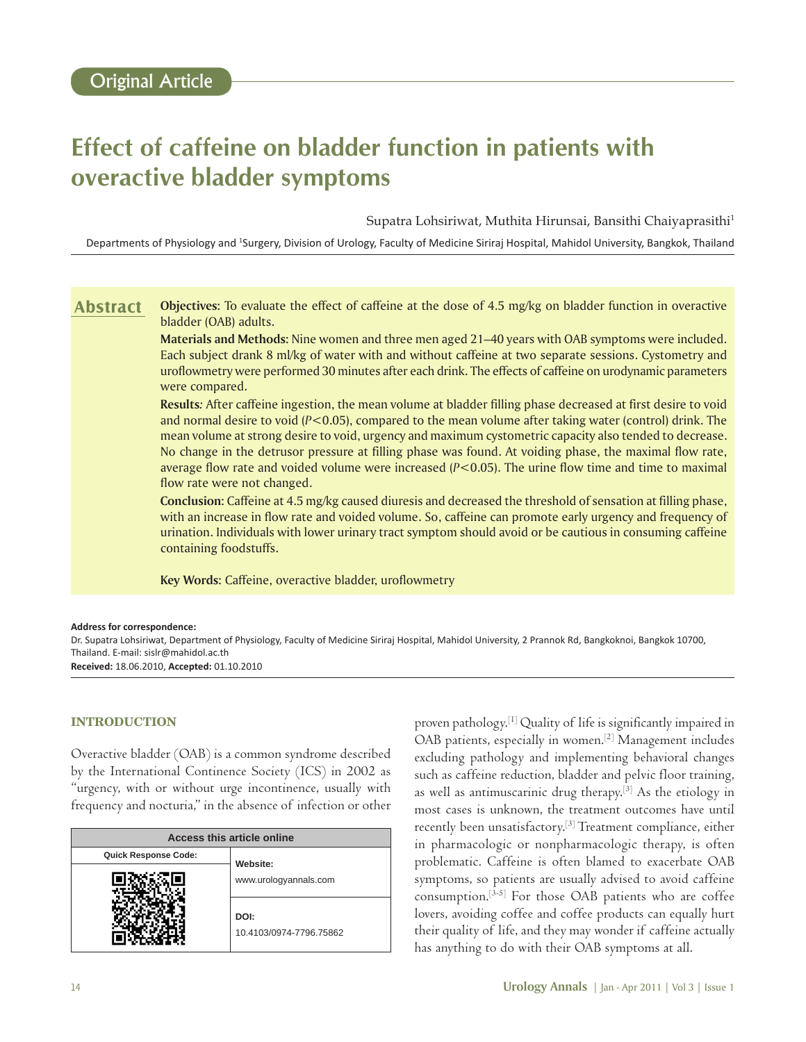# **Effect of caffeine on bladder function in patients with overactive bladder symptoms**

Supatra Lohsiriwat, Muthita Hirunsai, Bansithi Chaiyaprasithi1

Departments of Physiology and <sup>1</sup>Surgery, Division of Urology, Faculty of Medicine Siriraj Hospital, Mahidol University, Bangkok, Thailand

**Objectives:** To evaluate the effect of caffeine at the dose of 4.5 mg/kg on bladder function in overactive bladder (OAB) adults. **Abstract**

> **Materials and Methods:** Nine women and three men aged 21–40 years with OAB symptoms were included. Each subject drank 8 ml/kg of water with and without caffeine at two separate sessions. Cystometry and uroflowmetry were performed 30 minutes after each drink. The effects of caffeine on urodynamic parameters were compared.

> **Results***:* After caffeine ingestion, the mean volume at bladder filling phase decreased at first desire to void and normal desire to void (*P*<0.05), compared to the mean volume after taking water (control) drink. The mean volume at strong desire to void, urgency and maximum cystometric capacity also tended to decrease. No change in the detrusor pressure at filling phase was found. At voiding phase, the maximal flow rate, average flow rate and voided volume were increased (*P*<0.05). The urine flow time and time to maximal flow rate were not changed.

> **Conclusion:** Caffeine at 4.5 mg/kg caused diuresis and decreased the threshold of sensation at filling phase, with an increase in flow rate and voided volume. So, caffeine can promote early urgency and frequency of urination. Individuals with lower urinary tract symptom should avoid or be cautious in consuming caffeine containing foodstuffs.

**Key Words:** Caffeine, overactive bladder, uroflowmetry

#### **Address for correspondence:**

Dr. Supatra Lohsiriwat, Department of Physiology, Faculty of Medicine Siriraj Hospital, Mahidol University, 2 Prannok Rd, Bangkoknoi, Bangkok 10700, Thailand. E-mail: sislr@mahidol.ac.th **Received:** 18.06.2010, **Accepted:** 01.10.2010

## **INTRODUCTION**

Overactive bladder (OAB) is a common syndrome described by the International Continence Society (ICS) in 2002 as "urgency, with or without urge incontinence, usually with frequency and nocturia," in the absence of infection or other

| Access this article online  |                                   |  |
|-----------------------------|-----------------------------------|--|
| <b>Quick Response Code:</b> | Website:<br>www.urologyannals.com |  |
|                             |                                   |  |
|                             | DOI:<br>10.4103/0974-7796.75862   |  |

proven pathology.[1] Quality of life is significantly impaired in OAB patients, especially in women.[2] Management includes excluding pathology and implementing behavioral changes such as caffeine reduction, bladder and pelvic floor training, as well as antimuscarinic drug therapy.[3] As the etiology in most cases is unknown, the treatment outcomes have until recently been unsatisfactory.[3] Treatment compliance, either in pharmacologic or nonpharmacologic therapy, is often problematic. Caffeine is often blamed to exacerbate OAB symptoms, so patients are usually advised to avoid caffeine consumption.[3-5] For those OAB patients who are coffee lovers, avoiding coffee and coffee products can equally hurt their quality of life, and they may wonder if caffeine actually has anything to do with their OAB symptoms at all.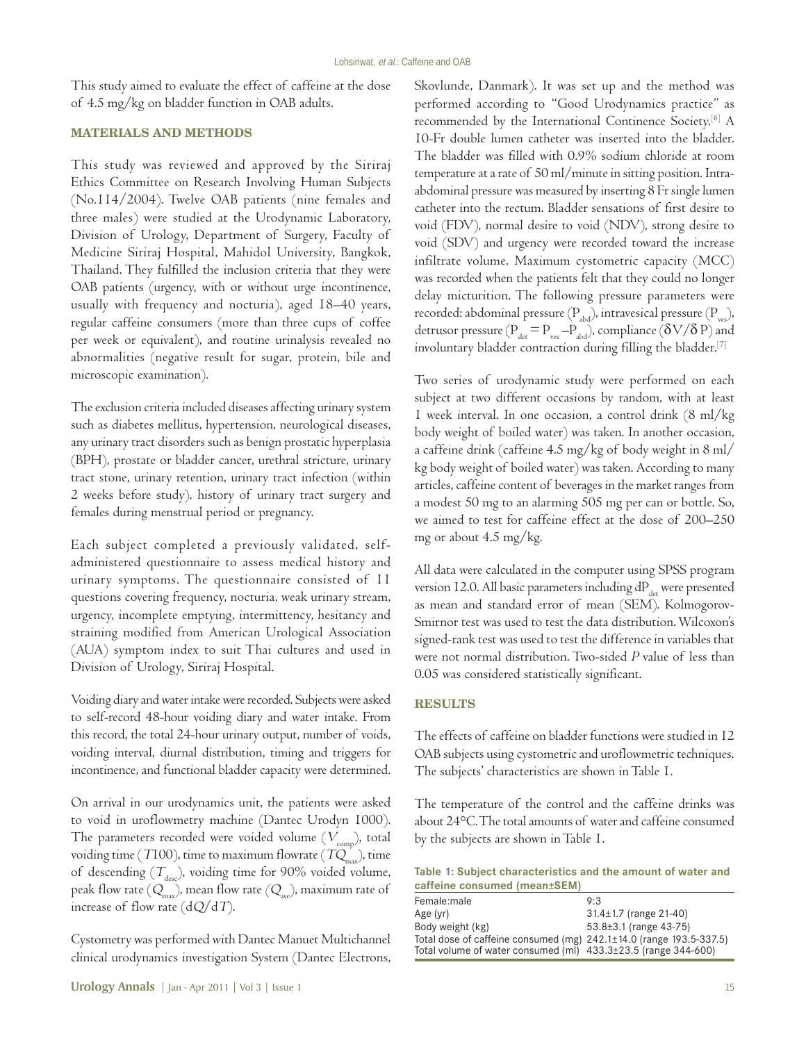This study aimed to evaluate the effect of caffeine at the dose of 4.5 mg/kg on bladder function in OAB adults.

## **MATERIALS AND METHODS**

This study was reviewed and approved by the Siriraj Ethics Committee on Research Involving Human Subjects (No.114/2004). Twelve OAB patients (nine females and three males) were studied at the Urodynamic Laboratory, Division of Urology, Department of Surgery, Faculty of Medicine Siriraj Hospital, Mahidol University, Bangkok, Thailand. They fulfilled the inclusion criteria that they were OAB patients (urgency, with or without urge incontinence, usually with frequency and nocturia), aged 18–40 years, regular caffeine consumers (more than three cups of coffee per week or equivalent), and routine urinalysis revealed no abnormalities (negative result for sugar, protein, bile and microscopic examination).

The exclusion criteria included diseases affecting urinary system such as diabetes mellitus, hypertension, neurological diseases, any urinary tract disorders such as benign prostatic hyperplasia (BPH), prostate or bladder cancer, urethral stricture, urinary tract stone, urinary retention, urinary tract infection (within 2 weeks before study), history of urinary tract surgery and females during menstrual period or pregnancy.

Each subject completed a previously validated, selfadministered questionnaire to assess medical history and urinary symptoms. The questionnaire consisted of 11 questions covering frequency, nocturia, weak urinary stream, urgency, incomplete emptying, intermittency, hesitancy and straining modified from American Urological Association (AUA) symptom index to suit Thai cultures and used in Division of Urology, Siriraj Hospital.

Voiding diary and water intake were recorded. Subjects were asked to self-record 48-hour voiding diary and water intake. From this record, the total 24-hour urinary output, number of voids, voiding interval, diurnal distribution, timing and triggers for incontinence, and functional bladder capacity were determined.

On arrival in our urodynamics unit, the patients were asked to void in uroflowmetry machine (Dantec Urodyn 1000). The parameters recorded were voided volume  $(V_{\text{comp}})$ , total voiding time (T100), time to maximum flowrate (TQ<sub>max</sub>), time of descending  $(T_{\text{des}})$ , voiding time for 90% voided volume, peak flow rate  $(Q_{\text{max}})$ , mean flow rate  $(Q_{\text{max}})$ , maximum rate of increase of flow rate  $(dQ/dT)$ .

Cystometry was performed with Dantec Manuet Multichannel clinical urodynamics investigation System (Dantec Electrons, Skovlunde, Danmark). It was set up and the method was performed according to "Good Urodynamics practice" as recommended by the International Continence Society.[6] A 10-Fr double lumen catheter was inserted into the bladder. The bladder was filled with 0.9% sodium chloride at room temperature at a rate of 50 ml/minute in sitting position. Intraabdominal pressure was measured by inserting 8 Fr single lumen catheter into the rectum. Bladder sensations of first desire to void (FDV), normal desire to void (NDV), strong desire to void (SDV) and urgency were recorded toward the increase infiltrate volume. Maximum cystometric capacity (MCC) was recorded when the patients felt that they could no longer delay micturition. The following pressure parameters were recorded: abdominal pressure  $(P_{\text{abs}})$ , intravesical pressure  $(P_{\text{yes}})$ , detrusor pressure ( $P_{\text{det}} = P_{\text{ves}} - P_{\text{abd}}$ ), compliance ( $\delta V / \delta P$ ) and involuntary bladder contraction during filling the bladder.[7]

Two series of urodynamic study were performed on each subject at two different occasions by random, with at least 1 week interval. In one occasion, a control drink (8 ml/kg body weight of boiled water) was taken. In another occasion, a caffeine drink (caffeine 4.5 mg/kg of body weight in 8 ml/ kg body weight of boiled water) was taken. According to many articles, caffeine content of beverages in the market ranges from a modest 50 mg to an alarming 505 mg per can or bottle. So, we aimed to test for caffeine effect at the dose of 200–250 mg or about 4.5 mg/kg.

All data were calculated in the computer using SPSS program version 12.0. All basic parameters including  $dP_{\text{det}}$  were presented as mean and standard error of mean (SEM). Kolmogorov-Smirnor test was used to test the data distribution. Wilcoxon's signed-rank test was used to test the difference in variables that were not normal distribution. Two-sided P value of less than 0.05 was considered statistically significant.

#### **RESULTS**

The effects of caffeine on bladder functions were studied in 12 OAB subjects using cystometric and uroflowmetric techniques. The subjects' characteristics are shown in Table 1.

The temperature of the control and the caffeine drinks was about 24°C. The total amounts of water and caffeine consumed by the subjects are shown in Table 1.

| Table 1: Subject characteristics and the amount of water and |  |  |
|--------------------------------------------------------------|--|--|
| caffeine consumed (mean±SEM)                                 |  |  |

| Female:male                                                                    | 9:3                          |
|--------------------------------------------------------------------------------|------------------------------|
| Age $(yr)$                                                                     | $31.4 \pm 1.7$ (range 21-40) |
| Body weight (kg)                                                               | $53.8 \pm 3.1$ (range 43-75) |
| Total dose of caffeine consumed (mg) $242.1 \pm 14.0$ (range $193.5 - 337.5$ ) |                              |
| Total volume of water consumed (ml) $433.3\pm23.5$ (range 344-600)             |                              |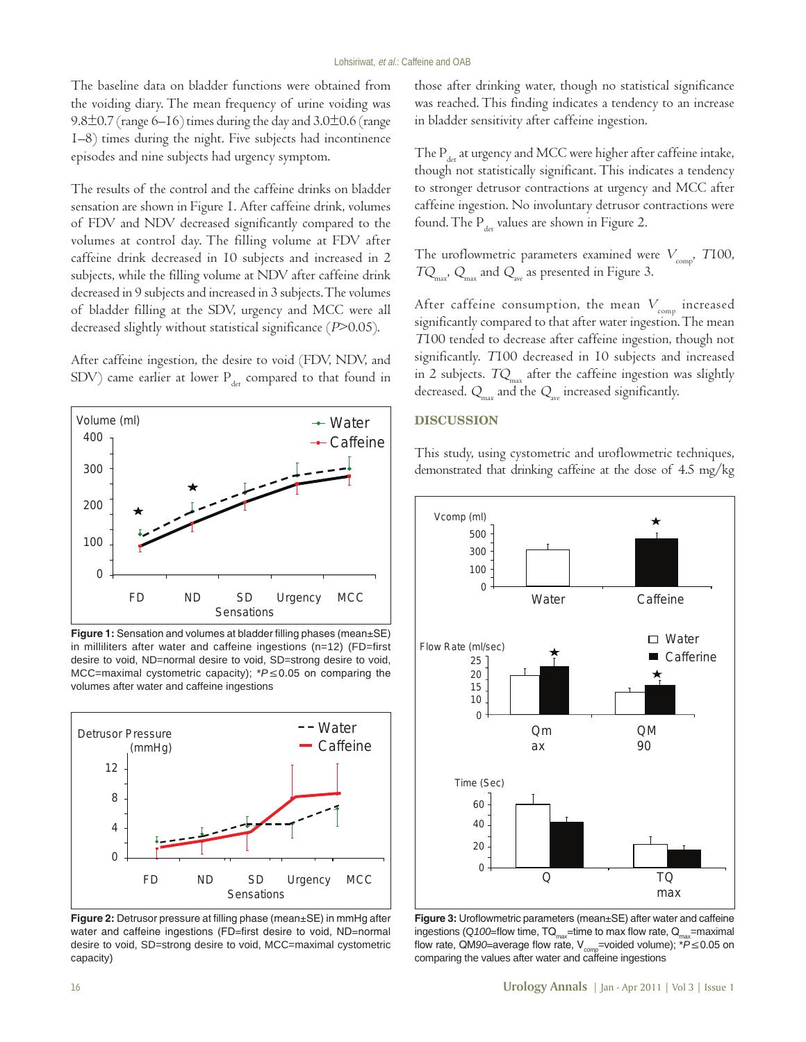The baseline data on bladder functions were obtained from the voiding diary. The mean frequency of urine voiding was 9.8 $\pm$ 0.7 (range 6–16) times during the day and 3.0 $\pm$ 0.6 (range 1–8) times during the night. Five subjects had incontinence episodes and nine subjects had urgency symptom.

The results of the control and the caffeine drinks on bladder sensation are shown in Figure 1. After caffeine drink, volumes of FDV and NDV decreased significantly compared to the volumes at control day. The filling volume at FDV after caffeine drink decreased in 10 subjects and increased in 2 subjects, while the filling volume at NDV after caffeine drink decreased in 9 subjects and increased in 3 subjects. The volumes of bladder filling at the SDV, urgency and MCC were all decreased slightly without statistical significance (P>0.05).

After caffeine ingestion, the desire to void (FDV, NDV, and SDV) came earlier at lower  $P_{\text{det}}$  compared to that found in



**Figure 1:** Sensation and volumes at bladder filling phases (mean±SE) in milliliters after water and caffeine ingestions (n=12) (FD=first desire to void, ND=normal desire to void, SD=strong desire to void, MCC=maximal cystometric capacity); \**P*≤0.05 on comparing the volumes after water and caffeine ingestions



**Figure 2:** Detrusor pressure at filling phase (mean±SE) in mmHg after water and caffeine ingestions (FD=first desire to void, ND=normal desire to void, SD=strong desire to void, MCC=maximal cystometric capacity)

those after drinking water, though no statistical significance was reached. This finding indicates a tendency to an increase in bladder sensitivity after caffeine ingestion.

The  $P_{\text{det}}$  at urgency and MCC were higher after caffeine intake, though not statistically significant. This indicates a tendency to stronger detrusor contractions at urgency and MCC after caffeine ingestion. No involuntary detrusor contractions were found. The  $P_{\text{det}}$  values are shown in Figure 2.

The uroflowmetric parameters examined were  $V_{\text{comp}}$ , T100,  $TQ_{\text{max}}$ ,  $Q_{\text{max}}$  and  $Q_{\text{ave}}$  as presented in Figure 3.

After caffeine consumption, the mean  $V_{\text{com}}$  increased significantly compared to that after water ingestion. The mean <sup>T</sup>100 tended to decrease after caffeine ingestion, though not significantly. T100 decreased in 10 subjects and increased in 2 subjects.  $TQ_{\text{max}}$  after the caffeine ingestion was slightly decreased.  $Q_{\text{max}}$  and the  $Q_{\text{ave}}$  increased significantly.

#### **DISCUSSION**

This study, using cystometric and uroflowmetric techniques, demonstrated that drinking caffeine at the dose of 4.5 mg/kg



**Figure 3:** Uroflowmetric parameters (mean±SE) after water and caffeine ingestions (Q100=flow time, TQ<sub>max</sub>=time to max flow rate, Q<sub>max</sub>=maximal flow rate, QM*90*=average flow rate, V*comp*=voided volume); \**P*≤0.05 on comparing the values after water and caffeine ingestions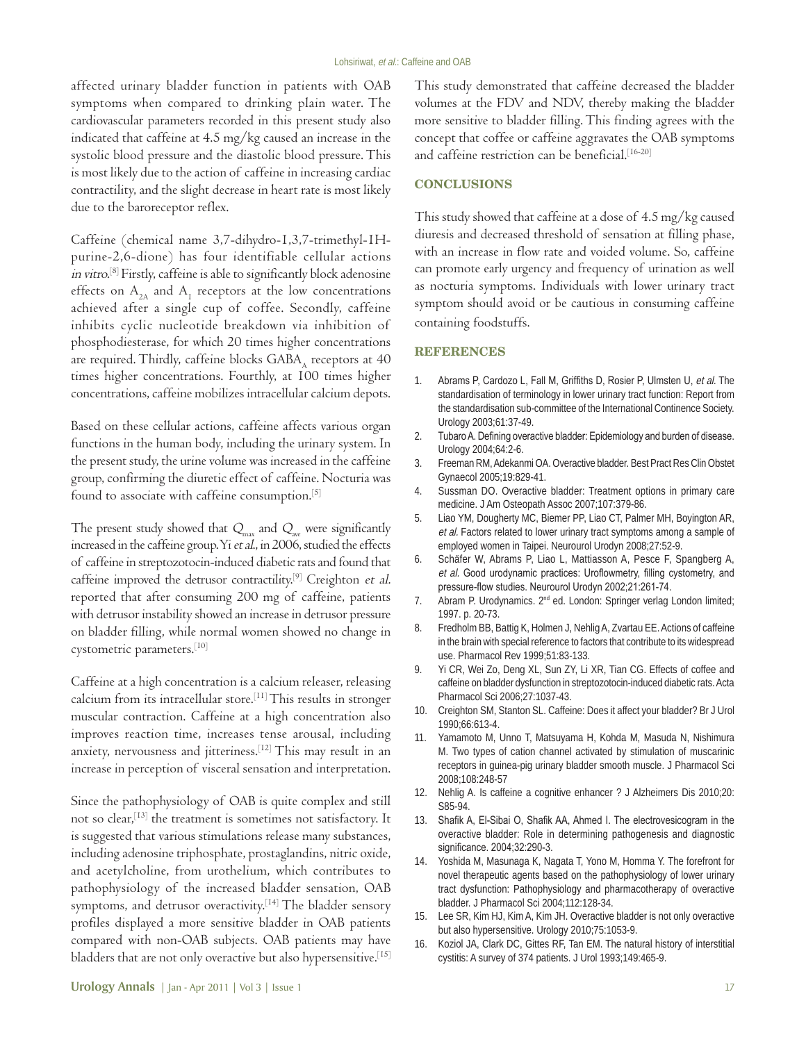affected urinary bladder function in patients with OAB symptoms when compared to drinking plain water. The cardiovascular parameters recorded in this present study also indicated that caffeine at 4.5 mg/kg caused an increase in the systolic blood pressure and the diastolic blood pressure. This is most likely due to the action of caffeine in increasing cardiac contractility, and the slight decrease in heart rate is most likely due to the baroreceptor reflex.

Caffeine (chemical name 3,7-dihydro-1,3,7-trimethyl-1Hpurine-2,6-dione) has four identifiable cellular actions in vitro.[8] Firstly, caffeine is able to significantly block adenosine effects on  $A_{2A}$  and  $A_1$  receptors at the low concentrations achieved after a single cup of coffee. Secondly, caffeine inhibits cyclic nucleotide breakdown via inhibition of phosphodiesterase, for which 20 times higher concentrations are required. Thirdly, caffeine blocks  $GABA$ <sub> $\Delta$ </sub> receptors at 40 times higher concentrations. Fourthly, at 100 times higher concentrations, caffeine mobilizes intracellular calcium depots.

Based on these cellular actions, caffeine affects various organ functions in the human body, including the urinary system. In the present study, the urine volume was increased in the caffeine group, confirming the diuretic effect of caffeine. Nocturia was found to associate with caffeine consumption.<sup>[5]</sup>

The present study showed that  $Q_{\text{max}}$  and  $Q_{\text{max}}$  were significantly increased in the caffeine group. Yi et al., in 2006, studied the effects of caffeine in streptozotocin-induced diabetic rats and found that caffeine improved the detrusor contractility.<sup>[9]</sup> Creighton et al. reported that after consuming 200 mg of caffeine, patients with detrusor instability showed an increase in detrusor pressure on bladder filling, while normal women showed no change in cystometric parameters.[10]

Caffeine at a high concentration is a calcium releaser, releasing calcium from its intracellular store.[11] This results in stronger muscular contraction. Caffeine at a high concentration also improves reaction time, increases tense arousal, including anxiety, nervousness and jitteriness.[12] This may result in an increase in perception of visceral sensation and interpretation.

Since the pathophysiology of OAB is quite complex and still not so clear,[13] the treatment is sometimes not satisfactory. It is suggested that various stimulations release many substances, including adenosine triphosphate, prostaglandins, nitric oxide, and acetylcholine, from urothelium, which contributes to pathophysiology of the increased bladder sensation, OAB symptoms, and detrusor overactivity.<sup>[14]</sup> The bladder sensory profiles displayed a more sensitive bladder in OAB patients compared with non-OAB subjects. OAB patients may have bladders that are not only overactive but also hypersensitive.<sup>[15]</sup>

#### **CONCLUSIONS**

This study showed that caffeine at a dose of 4.5 mg/kg caused diuresis and decreased threshold of sensation at filling phase, with an increase in flow rate and voided volume. So, caffeine can promote early urgency and frequency of urination as well as nocturia symptoms. Individuals with lower urinary tract symptom should avoid or be cautious in consuming caffeine containing foodstuffs.

#### **REFERENCES**

- 1. Abrams P, Cardozo L, Fall M, Griffiths D, Rosier P, Ulmsten U, et al. The standardisation of terminology in lower urinary tract function: Report from the standardisation sub-committee of the International Continence Society. Urology 2003;61:37-49.
- 2. Tubaro A. Defining overactive bladder: Epidemiology and burden of disease. Urology 2004;64:2-6.
- 3. Freeman RM, Adekanmi OA. Overactive bladder. Best Pract Res Clin Obstet Gynaecol 2005;19:829-41.
- 4. Sussman DO. Overactive bladder: Treatment options in primary care medicine. J Am Osteopath Assoc 2007;107:379-86.
- 5. Liao YM, Dougherty MC, Biemer PP, Liao CT, Palmer MH, Boyington AR, et al. Factors related to lower urinary tract symptoms among a sample of employed women in Taipei. Neurourol Urodyn 2008;27:52-9.
- 6. Schäfer W, Abrams P, Liao L, Mattiasson A, Pesce F, Spangberg A, et al. Good urodynamic practices: Uroflowmetry, filling cystometry, and pressure-flow studies. Neurourol Urodyn 2002;21:261-74.
- 7. Abram P. Urodynamics. 2<sup>nd</sup> ed. London: Springer verlag London limited; 1997. p. 20-73.
- 8. Fredholm BB, Battig K, Holmen J, Nehlig A, Zvartau EE. Actions of caffeine in the brain with special reference to factors that contribute to its widespread use. Pharmacol Rev 1999;51:83-133.
- 9. Yi CR, Wei Zo, Deng XL, Sun ZY, Li XR, Tian CG. Effects of coffee and caffeine on bladder dysfunction in streptozotocin-induced diabetic rats. Acta Pharmacol Sci 2006;27:1037-43.
- 10. Creighton SM, Stanton SL. Caffeine: Does it affect your bladder? Br J Urol 1990;66:613-4.
- 11. Yamamoto M, Unno T, Matsuyama H, Kohda M, Masuda N, Nishimura M. Two types of cation channel activated by stimulation of muscarinic receptors in guinea-pig urinary bladder smooth muscle. J Pharmacol Sci 2008;108:248-57
- 12. Nehlig A. Is caffeine a cognitive enhancer ? J Alzheimers Dis 2010;20: S85-94.
- 13. Shafik A, El-Sibai O, Shafik AA, Ahmed I. The electrovesicogram in the overactive bladder: Role in determining pathogenesis and diagnostic significance. 2004;32:290-3.
- 14. Yoshida M, Masunaga K, Nagata T, Yono M, Homma Y. The forefront for novel therapeutic agents based on the pathophysiology of lower urinary tract dysfunction: Pathophysiology and pharmacotherapy of overactive bladder. J Pharmacol Sci 2004;112:128-34.
- 15. Lee SR, Kim HJ, Kim A, Kim JH. Overactive bladder is not only overactive but also hypersensitive. Urology 2010;75:1053-9.
- 16. Koziol JA, Clark DC, Gittes RF, Tan EM. The natural history of interstitial cystitis: A survey of 374 patients. J Urol 1993;149:465-9.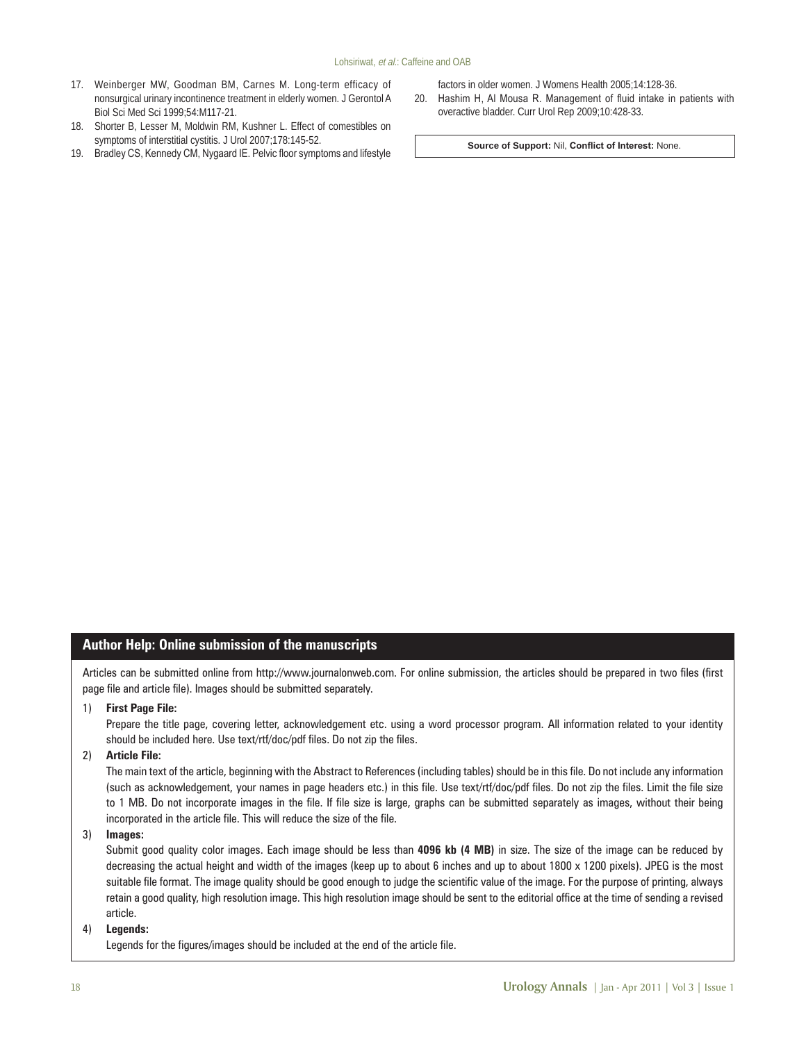- 17. Weinberger MW, Goodman BM, Carnes M. Long-term efficacy of nonsurgical urinary incontinence treatment in elderly women. J Gerontol A Biol Sci Med Sci 1999;54:M117-21.
- 18. Shorter B, Lesser M, Moldwin RM, Kushner L. Effect of comestibles on symptoms of interstitial cystitis. J Urol 2007;178:145-52.
- 19. Bradley CS, Kennedy CM, Nygaard IE. Pelvic floor symptoms and lifestyle

factors in older women. J Womens Health 2005;14:128-36.

20. Hashim H, Al Mousa R. Management of fluid intake in patients with overactive bladder. Curr Urol Rep 2009;10:428-33.

**Source of Support:** Nil, **Conflict of Interest:** None.

# **Author Help: Online submission of the manuscripts**

Articles can be submitted online from http://www.journalonweb.com. For online submission, the articles should be prepared in two files (first page file and article file). Images should be submitted separately.

1) **First Page File:** 

Prepare the title page, covering letter, acknowledgement etc. using a word processor program. All information related to your identity should be included here. Use text/rtf/doc/pdf files. Do not zip the files.

2) **Article File:** 

The main text of the article, beginning with the Abstract to References (including tables) should be in this file. Do not include any information (such as acknowledgement, your names in page headers etc.) in this file. Use text/rtf/doc/pdf files. Do not zip the files. Limit the file size to 1 MB. Do not incorporate images in the file. If file size is large, graphs can be submitted separately as images, without their being incorporated in the article file. This will reduce the size of the file.

3) **Images:** 

Submit good quality color images. Each image should be less than **4096 kb (4 MB)** in size. The size of the image can be reduced by decreasing the actual height and width of the images (keep up to about 6 inches and up to about 1800 x 1200 pixels). JPEG is the most suitable file format. The image quality should be good enough to judge the scientific value of the image. For the purpose of printing, always retain a good quality, high resolution image. This high resolution image should be sent to the editorial office at the time of sending a revised article.

#### 4) **Legends:**

Legends for the figures/images should be included at the end of the article file.